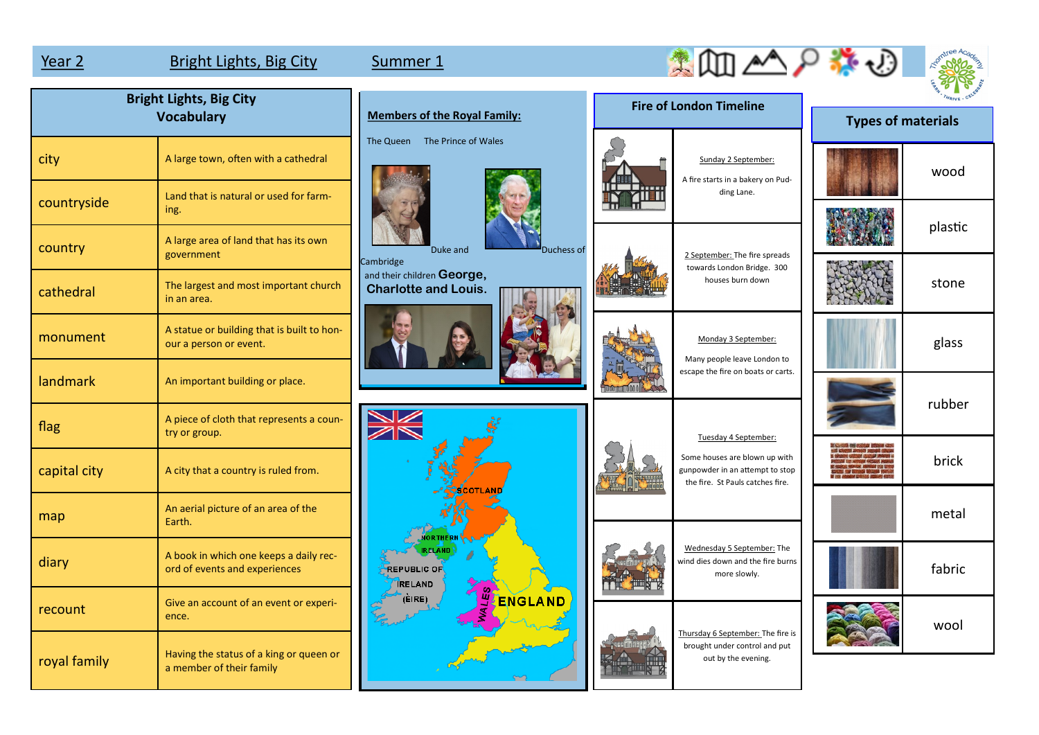map